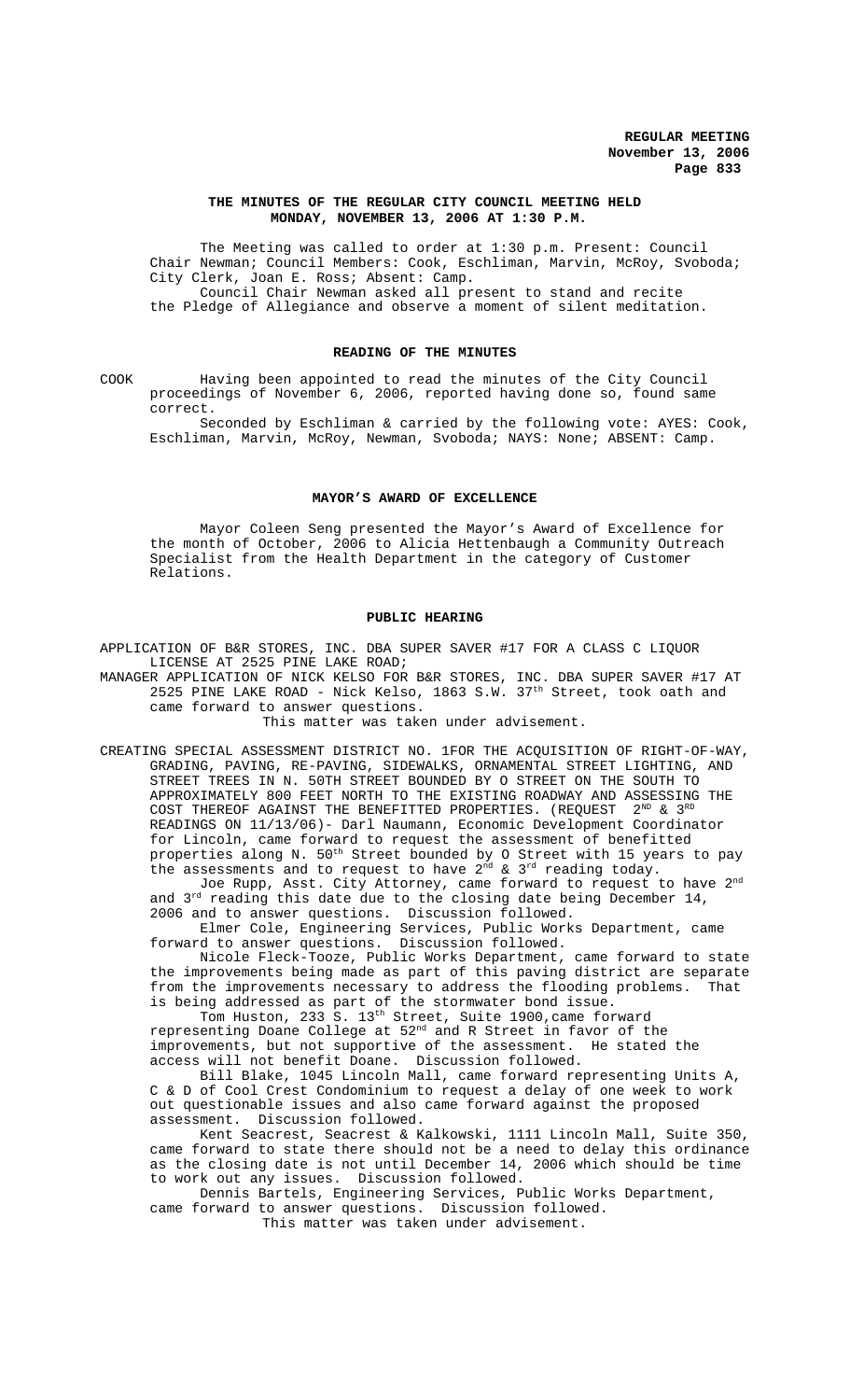#### **THE MINUTES OF THE REGULAR CITY COUNCIL MEETING HELD MONDAY, NOVEMBER 13, 2006 AT 1:30 P.M.**

The Meeting was called to order at 1:30 p.m. Present: Council Chair Newman; Council Members: Cook, Eschliman, Marvin, McRoy, Svoboda; City Clerk, Joan E. Ross; Absent: Camp. Council Chair Newman asked all present to stand and recite the Pledge of Allegiance and observe a moment of silent meditation.

## **READING OF THE MINUTES**

COOK Having been appointed to read the minutes of the City Council proceedings of November 6, 2006, reported having done so, found same correct.

Seconded by Eschliman & carried by the following vote: AYES: Cook, Eschliman, Marvin, McRoy, Newman, Svoboda; NAYS: None; ABSENT: Camp.

#### **MAYOR'S AWARD OF EXCELLENCE**

Mayor Coleen Seng presented the Mayor's Award of Excellence for the month of October, 2006 to Alicia Hettenbaugh a Community Outreach Specialist from the Health Department in the category of Customer Relations.

#### **PUBLIC HEARING**

APPLICATION OF B&R STORES, INC. DBA SUPER SAVER #17 FOR A CLASS C LIQUOR LICENSE AT 2525 PINE LAKE ROAD;

MANAGER APPLICATION OF NICK KELSO FOR B&R STORES, INC. DBA SUPER SAVER #17 AT 2525 PINE LAKE ROAD - Nick Kelso, 1863 S.W.  $37<sup>th</sup>$  Street, took oath and came forward to answer questions.

This matter was taken under advisement.

CREATING SPECIAL ASSESSMENT DISTRICT NO. 1FOR THE ACQUISITION OF RIGHT-OF-WAY, GRADING, PAVING, RE-PAVING, SIDEWALKS, ORNAMENTAL STREET LIGHTING, AND STREET TREES IN N. 50TH STREET BOUNDED BY O STREET ON THE SOUTH TO APPROXIMATELY 800 FEET NORTH TO THE EXISTING ROADWAY AND ASSESSING THE COST THEREOF AGAINST THE BENEFITTED PROPERTIES. (REQUEST  $2^{ND}$  &  $3^{RI}$ READINGS ON 11/13/06)- Darl Naumann, Economic Development Coordinator for Lincoln, came forward to request the assessment of benefitted properties along N.  $50^{\text{th}}$  Street bounded by O Street with  $15$  years to pay the assessments and to request to have  $2^{nd}$  &  $3^{rd}$  reading today.

Joe Rupp, Asst. City Attorney, came forward to request to have  $2^{\mathrm{nd}}$ and 3<sup>rd</sup> reading this date due to the closing date being December 14, 2006 and to answer questions. Discussion followed.

Elmer Cole, Engineering Services, Public Works Department, came forward to answer questions. Discussion followed.

Nicole Fleck-Tooze, Public Works Department, came forward to state the improvements being made as part of this paving district are separate from the improvements necessary to address the flooding problems. That is being addressed as part of the stormwater bond issue.

Tom Huston, 233 S. 13<sup>th</sup> Street, Suite 1900, came forward representing Doane College at 52nd and R Street in favor of the improvements, but not supportive of the assessment. He stated the access will not benefit Doane. Discussion followed.

Bill Blake, 1045 Lincoln Mall, came forward representing Units A, C & D of Cool Crest Condominium to request a delay of one week to work out questionable issues and also came forward against the proposed assessment. Discussion followed.

Kent Seacrest, Seacrest & Kalkowski, 1111 Lincoln Mall, Suite 350, came forward to state there should not be a need to delay this ordinance as the closing date is not until December 14, 2006 which should be time to work out any issues. Discussion followed.

Dennis Bartels, Engineering Services, Public Works Department, came forward to answer questions. Discussion followed.

This matter was taken under advisement.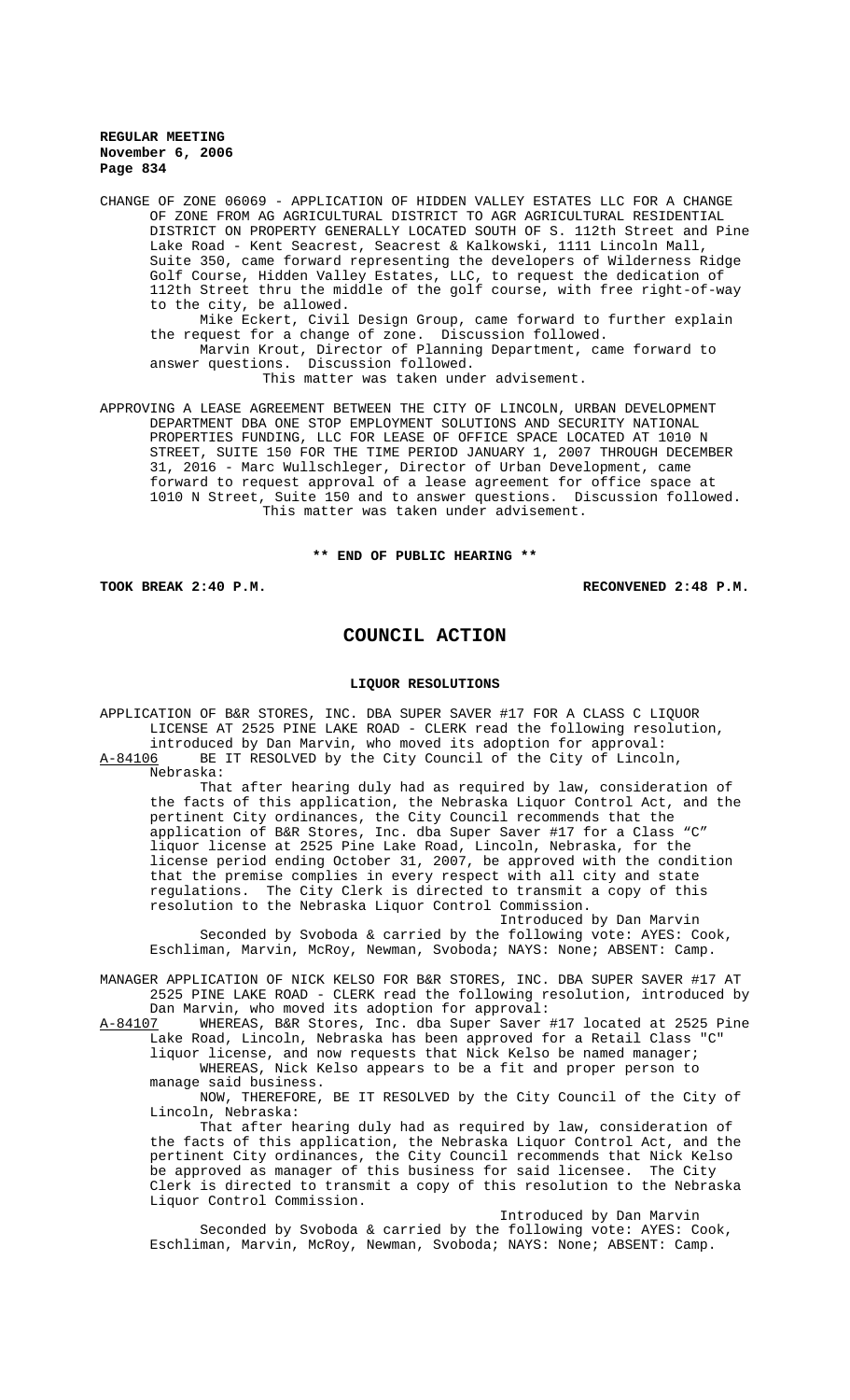CHANGE OF ZONE 06069 - APPLICATION OF HIDDEN VALLEY ESTATES LLC FOR A CHANGE OF ZONE FROM AG AGRICULTURAL DISTRICT TO AGR AGRICULTURAL RESIDENTIAL DISTRICT ON PROPERTY GENERALLY LOCATED SOUTH OF S. 112th Street and Pine Lake Road - Kent Seacrest, Seacrest & Kalkowski, 1111 Lincoln Mall, Suite 350, came forward representing the developers of Wilderness Ridge Golf Course, Hidden Valley Estates, LLC, to request the dedication of 112th Street thru the middle of the golf course, with free right-of-way to the city, be allowed. Mike Eckert, Civil Design Group, came forward to further explain the request for a change of zone. Discussion followed. Marvin Krout, Director of Planning Department, came forward to answer questions. Discussion followed. This matter was taken under advisement. APPROVING A LEASE AGREEMENT BETWEEN THE CITY OF LINCOLN, URBAN DEVELOPMENT DEPARTMENT DBA ONE STOP EMPLOYMENT SOLUTIONS AND SECURITY NATIONAL PROPERTIES FUNDING, LLC FOR LEASE OF OFFICE SPACE LOCATED AT 1010 N

STREET, SUITE 150 FOR THE TIME PERIOD JANUARY 1, 2007 THROUGH DECEMBER 31, 2016 - Marc Wullschleger, Director of Urban Development, came forward to request approval of a lease agreement for office space at 1010 N Street, Suite 150 and to answer questions. Discussion followed. This matter was taken under advisement.

**\*\* END OF PUBLIC HEARING \*\***

**TOOK BREAK 2:40 P.M. RECONVENED 2:48 P.M.**

# **COUNCIL ACTION**

#### **LIQUOR RESOLUTIONS**

APPLICATION OF B&R STORES, INC. DBA SUPER SAVER #17 FOR A CLASS C LIQUOR LICENSE AT 2525 PINE LAKE ROAD - CLERK read the following resolution, introduced by Dan Marvin, who moved its adoption for approval:<br>A-84106 BE IT RESOLVED by the City Council of the City of Lincol BE IT RESOLVED by the City Council of the City of Lincoln,

Nebraska:

That after hearing duly had as required by law, consideration of the facts of this application, the Nebraska Liquor Control Act, and the pertinent City ordinances, the City Council recommends that the application of B&R Stores, Inc. dba Super Saver #17 for a Class "C" liquor license at 2525 Pine Lake Road, Lincoln, Nebraska, for the license period ending October 31, 2007, be approved with the condition that the premise complies in every respect with all city and state regulations. The City Clerk is directed to transmit a copy of this resolution to the Nebraska Liquor Control Commission.

Introduced by Dan Marvin Seconded by Svoboda & carried by the following vote: AYES: Cook, Eschliman, Marvin, McRoy, Newman, Svoboda; NAYS: None; ABSENT: Camp.

MANAGER APPLICATION OF NICK KELSO FOR B&R STORES, INC. DBA SUPER SAVER #17 AT 2525 PINE LAKE ROAD - CLERK read the following resolution, introduced by Dan Marvin, who moved its adoption for approval:

A-84107 WHEREAS, B&R Stores, Inc. dba Super Saver #17 located at 2525 Pine Lake Road, Lincoln, Nebraska has been approved for a Retail Class "C" liquor license, and now requests that Nick Kelso be named manager;

WHEREAS, Nick Kelso appears to be a fit and proper person to manage said business.

NOW, THEREFORE, BE IT RESOLVED by the City Council of the City of Lincoln, Nebraska:

That after hearing duly had as required by law, consideration of the facts of this application, the Nebraska Liquor Control Act, and the pertinent City ordinances, the City Council recommends that Nick Kelso be approved as manager of this business for said licensee. The City Clerk is directed to transmit a copy of this resolution to the Nebraska Liquor Control Commission.

Introduced by Dan Marvin Seconded by Svoboda & carried by the following vote: AYES: Cook, Eschliman, Marvin, McRoy, Newman, Svoboda; NAYS: None; ABSENT: Camp.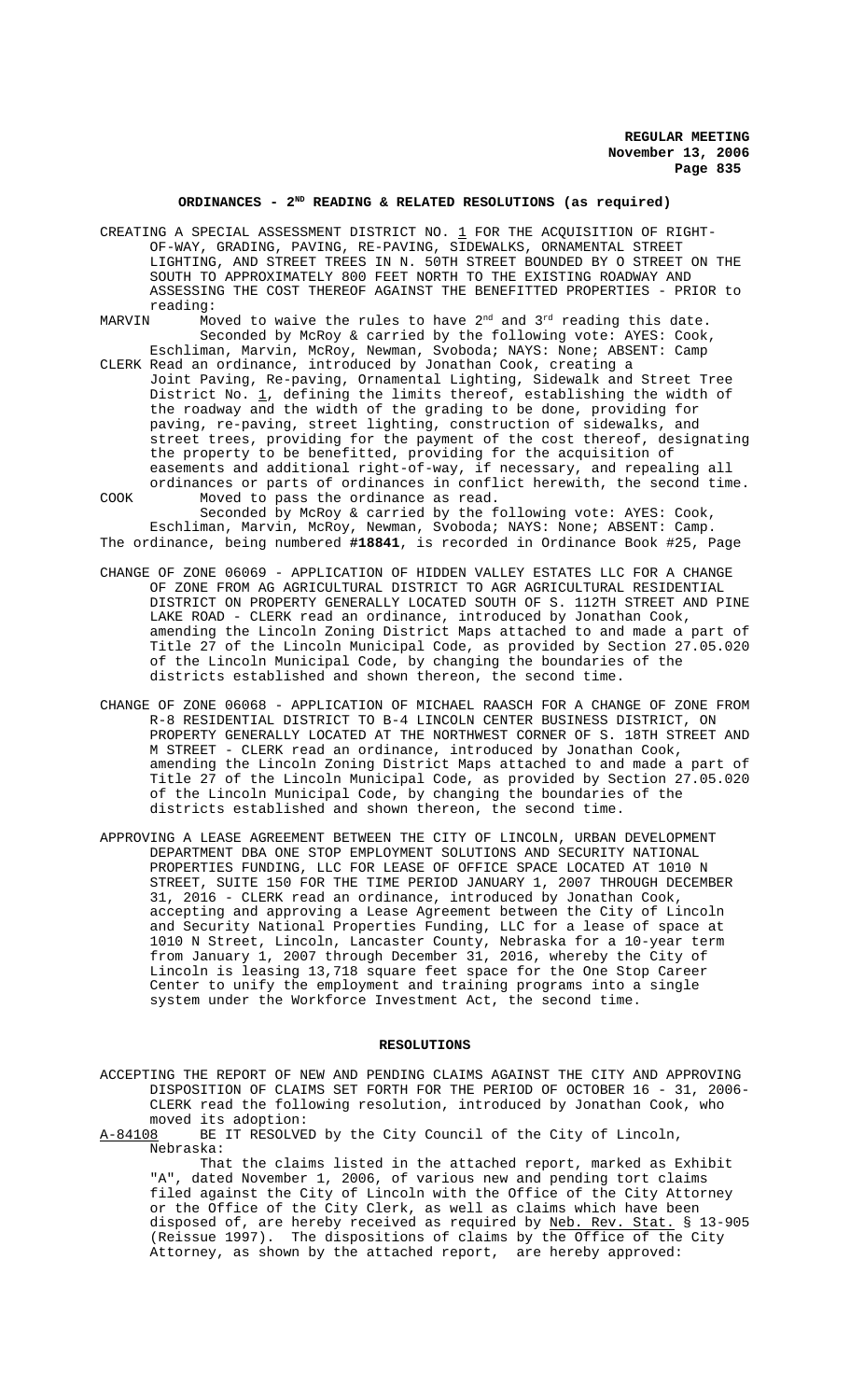# ORDINANCES - 2<sup>ND</sup> READING & RELATED RESOLUTIONS (as required)

- CREATING A SPECIAL ASSESSMENT DISTRICT NO.  $1$  FOR THE ACQUISITION OF RIGHT-OF-WAY, GRADING, PAVING, RE-PAVING, SIDEWALKS, ORNAMENTAL STREET LIGHTING, AND STREET TREES IN N. 50TH STREET BOUNDED BY O STREET ON THE SOUTH TO APPROXIMATELY 800 FEET NORTH TO THE EXISTING ROADWAY AND ASSESSING THE COST THEREOF AGAINST THE BENEFITTED PROPERTIES - PRIOR to
- reading:<br>MARVIN Mo Moved to waive the rules to have  $2<sup>nd</sup>$  and  $3<sup>rd</sup>$  reading this date. Seconded by McRoy & carried by the following vote: AYES: Cook, Eschliman, Marvin, McRoy, Newman, Svoboda; NAYS: None; ABSENT: Camp
- CLERK Read an ordinance, introduced by Jonathan Cook, creating a Joint Paving, Re-paving, Ornamental Lighting, Sidewalk and Street Tree District No.  $\underline{1}$ , defining the limits thereof, establishing the width of the roadway and the width of the grading to be done, providing for paving, re-paving, street lighting, construction of sidewalks, and street trees, providing for the payment of the cost thereof, designating the property to be benefitted, providing for the acquisition of easements and additional right-of-way, if necessary, and repealing all ordinances or parts of ordinances in conflict herewith, the second time.
- COOK Moved to pass the ordinance as read. Seconded by McRoy & carried by the following vote: AYES: Cook, Eschliman, Marvin, McRoy, Newman, Svoboda; NAYS: None; ABSENT: Camp. The ordinance, being numbered **#18841**, is recorded in Ordinance Book #25, Page
- CHANGE OF ZONE 06069 APPLICATION OF HIDDEN VALLEY ESTATES LLC FOR A CHANGE OF ZONE FROM AG AGRICULTURAL DISTRICT TO AGR AGRICULTURAL RESIDENTIAL DISTRICT ON PROPERTY GENERALLY LOCATED SOUTH OF S. 112TH STREET AND PINE LAKE ROAD - CLERK read an ordinance, introduced by Jonathan Cook, amending the Lincoln Zoning District Maps attached to and made a part of Title 27 of the Lincoln Municipal Code, as provided by Section 27.05.020 of the Lincoln Municipal Code, by changing the boundaries of the districts established and shown thereon, the second time.
- CHANGE OF ZONE 06068 APPLICATION OF MICHAEL RAASCH FOR A CHANGE OF ZONE FROM R-8 RESIDENTIAL DISTRICT TO B-4 LINCOLN CENTER BUSINESS DISTRICT, ON PROPERTY GENERALLY LOCATED AT THE NORTHWEST CORNER OF S. 18TH STREET AND M STREET - CLERK read an ordinance, introduced by Jonathan Cook, amending the Lincoln Zoning District Maps attached to and made a part of Title 27 of the Lincoln Municipal Code, as provided by Section 27.05.020 of the Lincoln Municipal Code, by changing the boundaries of the districts established and shown thereon, the second time.
- APPROVING A LEASE AGREEMENT BETWEEN THE CITY OF LINCOLN, URBAN DEVELOPMENT DEPARTMENT DBA ONE STOP EMPLOYMENT SOLUTIONS AND SECURITY NATIONAL PROPERTIES FUNDING, LLC FOR LEASE OF OFFICE SPACE LOCATED AT 1010 N STREET, SUITE 150 FOR THE TIME PERIOD JANUARY 1, 2007 THROUGH DECEMBER 31, 2016 - CLERK read an ordinance, introduced by Jonathan Cook, accepting and approving a Lease Agreement between the City of Lincoln and Security National Properties Funding, LLC for a lease of space at 1010 N Street, Lincoln, Lancaster County, Nebraska for a 10-year term from January 1, 2007 through December 31, 2016, whereby the City of Lincoln is leasing 13,718 square feet space for the One Stop Career Center to unify the employment and training programs into a single system under the Workforce Investment Act, the second time.

#### **RESOLUTIONS**

ACCEPTING THE REPORT OF NEW AND PENDING CLAIMS AGAINST THE CITY AND APPROVING DISPOSITION OF CLAIMS SET FORTH FOR THE PERIOD OF OCTOBER 16 - 31, 2006- CLERK read the following resolution, introduced by Jonathan Cook, who

moved its adoption:<br>A-84108 BE IT RESOLVE BE IT RESOLVED by the City Council of the City of Lincoln, Nebraska:

That the claims listed in the attached report, marked as Exhibit "A", dated November 1, 2006, of various new and pending tort claims filed against the City of Lincoln with the Office of the City Attorney or the Office of the City Clerk, as well as claims which have been disposed of, are hereby received as required by <u>Neb. Rev. Stat.</u> § 13-905 (Reissue 1997). The dispositions of claims by the Office of the City Attorney, as shown by the attached report, are hereby approved: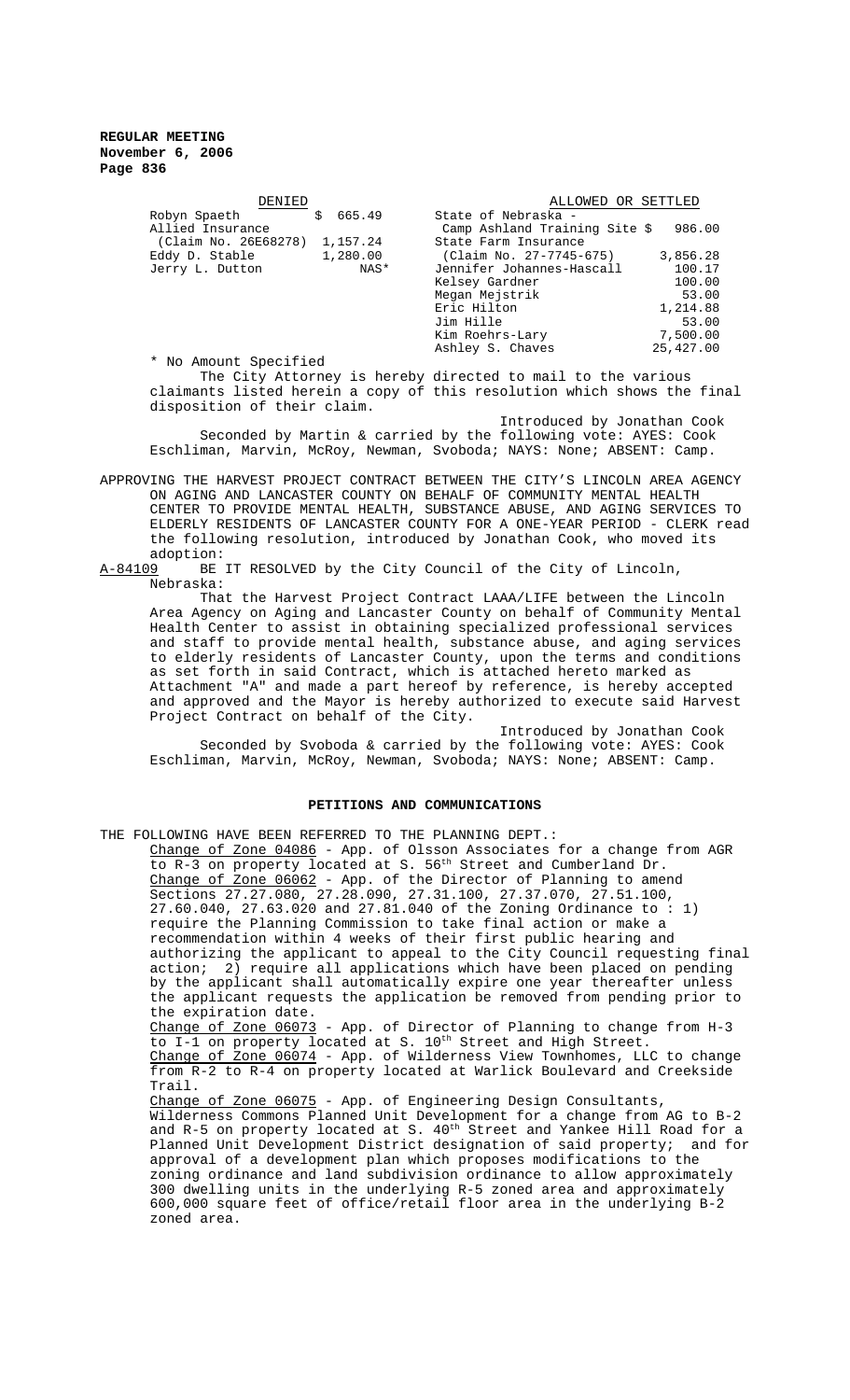| DENIED                           | ALLOWED OR SETTLED            |           |
|----------------------------------|-------------------------------|-----------|
| Ś.<br>665.49<br>Robyn Spaeth     | State of Nebraska -           |           |
| Allied Insurance                 | Camp Ashland Training Site \$ | 986.00    |
| 1,157.24<br>(Claim No. 26E68278) | State Farm Insurance          |           |
| 1,280.00<br>Eddy D. Stable       | (Claim No. 27-7745-675)       | 3,856.28  |
| NAS*<br>Jerry L. Dutton          | Jennifer Johannes-Hascall     | 100.17    |
|                                  | Kelsey Gardner                | 100.00    |
|                                  | Megan Mejstrik                | 53.00     |
|                                  | Eric Hilton                   | 1,214.88  |
|                                  | Jim Hille                     | 53.00     |
|                                  | Kim Roehrs-Lary               | 7,500.00  |
|                                  | Ashley S. Chaves              | 25,427.00 |
| * No Amount Specified            |                               |           |

The City Attorney is hereby directed to mail to the various claimants listed herein a copy of this resolution which shows the final disposition of their claim.

Introduced by Jonathan Cook Seconded by Martin & carried by the following vote: AYES: Cook Eschliman, Marvin, McRoy, Newman, Svoboda; NAYS: None; ABSENT: Camp.

APPROVING THE HARVEST PROJECT CONTRACT BETWEEN THE CITY'S LINCOLN AREA AGENCY ON AGING AND LANCASTER COUNTY ON BEHALF OF COMMUNITY MENTAL HEALTH CENTER TO PROVIDE MENTAL HEALTH, SUBSTANCE ABUSE, AND AGING SERVICES TO ELDERLY RESIDENTS OF LANCASTER COUNTY FOR A ONE-YEAR PERIOD - CLERK read the following resolution, introduced by Jonathan Cook, who moved its

adoption:<br>A-84109 BE BE IT RESOLVED by the City Council of the City of Lincoln, Nebraska:

That the Harvest Project Contract LAAA/LIFE between the Lincoln Area Agency on Aging and Lancaster County on behalf of Community Mental Health Center to assist in obtaining specialized professional services and staff to provide mental health, substance abuse, and aging services to elderly residents of Lancaster County, upon the terms and conditions as set forth in said Contract, which is attached hereto marked as Attachment "A" and made a part hereof by reference, is hereby accepted and approved and the Mayor is hereby authorized to execute said Harvest Project Contract on behalf of the City.

Introduced by Jonathan Cook Seconded by Svoboda & carried by the following vote: AYES: Cook Eschliman, Marvin, McRoy, Newman, Svoboda; NAYS: None; ABSENT: Camp.

#### **PETITIONS AND COMMUNICATIONS**

THE FOLLOWING HAVE BEEN REFERRED TO THE PLANNING DEPT.: Change of Zone 04086 - App. of Olsson Associates for a change from AGR to R-3 on property located at S. 56<sup>th</sup> Street and Cumberland Dr. Change of Zone 06062 - App. of the Director of Planning to amend Sections 27.27.080, 27.28.090, 27.31.100, 27.37.070, 27.51.100, 27.60.040, 27.63.020 and 27.81.040 of the Zoning Ordinance to : 1) require the Planning Commission to take final action or make a recommendation within 4 weeks of their first public hearing and authorizing the applicant to appeal to the City Council requesting final action; 2) require all applications which have been placed on pending by the applicant shall automatically expire one year thereafter unless the applicant requests the application be removed from pending prior to the expiration date. Change of Zone 06073 - App. of Director of Planning to change from H-3 to I-1 on property located at S. 10<sup>th</sup> Street and High Street. Change of Zone 06074 - App. of Wilderness View Townhomes, LLC to change from R-2 to R-4 on property located at Warlick Boulevard and Creekside Trail. Change of Zone 06075 - App. of Engineering Design Consultants, Wilderness Commons Planned Unit Development for a change from AG to B-2 and R-5 on property located at S.  $40^{\rm th}$  Street and Yankee Hill Road for a Planned Unit Development District designation of said property; and for approval of a development plan which proposes modifications to the zoning ordinance and land subdivision ordinance to allow approximately 300 dwelling units in the underlying R-5 zoned area and approximately 600,000 square feet of office/retail floor area in the underlying B-2 zoned area.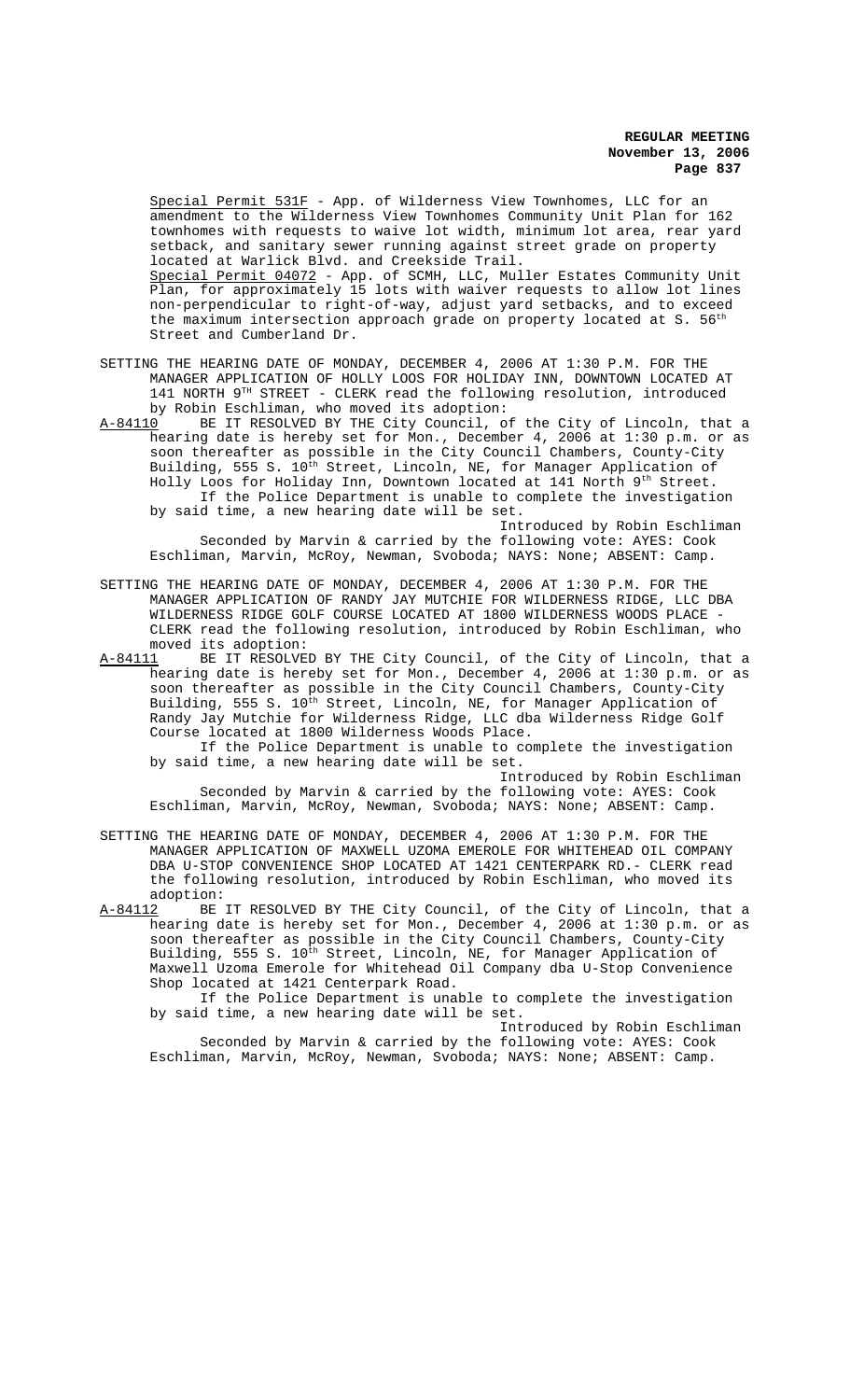Special Permit 531F - App. of Wilderness View Townhomes, LLC for an amendment to the Wilderness View Townhomes Community Unit Plan for 162 townhomes with requests to waive lot width, minimum lot area, rear yard setback, and sanitary sewer running against street grade on property located at Warlick Blvd. and Creekside Trail. Special Permit 04072 - App. of SCMH, LLC, Muller Estates Community Unit Plan, for approximately 15 lots with waiver requests to allow lot lines non-perpendicular to right-of-way, adjust yard setbacks, and to exceed the maximum intersection approach grade on property located at S. 56<sup>th</sup> Street and Cumberland Dr.

SETTING THE HEARING DATE OF MONDAY, DECEMBER 4, 2006 AT 1:30 P.M. FOR THE MANAGER APPLICATION OF HOLLY LOOS FOR HOLIDAY INN, DOWNTOWN LOCATED AT 141 NORTH 9TH STREET - CLERK read the following resolution, introduced

by Robin Eschliman, who moved its adoption:<br>A-84110 BE IT RESOLVED BY THE City Council, or BE IT RESOLVED BY THE City Council, of the City of Lincoln, that a hearing date is hereby set for Mon., December 4, 2006 at 1:30 p.m. or as soon thereafter as possible in the City Council Chambers, County-City Building, 555 S. 10<sup>th</sup> Street, Lincoln, NE, for Manager Application of Holly Loos for Holiday Inn, Downtown located at 141 North 9<sup>th</sup> Street. If the Police Department is unable to complete the investigation by said time, a new hearing date will be set.

Introduced by Robin Eschliman Seconded by Marvin & carried by the following vote: AYES: Cook Eschliman, Marvin, McRoy, Newman, Svoboda; NAYS: None; ABSENT: Camp.

SETTING THE HEARING DATE OF MONDAY, DECEMBER 4, 2006 AT 1:30 P.M. FOR THE MANAGER APPLICATION OF RANDY JAY MUTCHIE FOR WILDERNESS RIDGE, LLC DBA WILDERNESS RIDGE GOLF COURSE LOCATED AT 1800 WILDERNESS WOODS PLACE - CLERK read the following resolution, introduced by Robin Eschliman, who moved its adoption:

A-84111 BE IT RESOLVED BY THE City Council, of the City of Lincoln, that a hearing date is hereby set for Mon., December 4, 2006 at 1:30 p.m. or as soon thereafter as possible in the City Council Chambers, County-City Building, 555 S. 10<sup>th</sup> Street, Lincoln, NE, for Manager Application of Randy Jay Mutchie for Wilderness Ridge, LLC dba Wilderness Ridge Golf Course located at 1800 Wilderness Woods Place.

If the Police Department is unable to complete the investigation by said time, a new hearing date will be set.

Introduced by Robin Eschliman Seconded by Marvin & carried by the following vote: AYES: Cook Eschliman, Marvin, McRoy, Newman, Svoboda; NAYS: None; ABSENT: Camp.

SETTING THE HEARING DATE OF MONDAY, DECEMBER 4, 2006 AT 1:30 P.M. FOR THE MANAGER APPLICATION OF MAXWELL UZOMA EMEROLE FOR WHITEHEAD OIL COMPANY DBA U-STOP CONVENIENCE SHOP LOCATED AT 1421 CENTERPARK RD.- CLERK read the following resolution, introduced by Robin Eschliman, who moved its

adoption:<br><u>A-84112</u> BE BE IT RESOLVED BY THE City Council, of the City of Lincoln, that a hearing date is hereby set for Mon., December 4, 2006 at 1:30 p.m. or as soon thereafter as possible in the City Council Chambers, County-City Building, 555 S.  $10^{\text{th}}$  Street, Lincoln, NE, for Manager Application of Maxwell Uzoma Emerole for Whitehead Oil Company dba U-Stop Convenience Shop located at 1421 Centerpark Road.

If the Police Department is unable to complete the investigation by said time, a new hearing date will be set.

Introduced by Robin Eschliman Seconded by Marvin & carried by the following vote: AYES: Cook Eschliman, Marvin, McRoy, Newman, Svoboda; NAYS: None; ABSENT: Camp.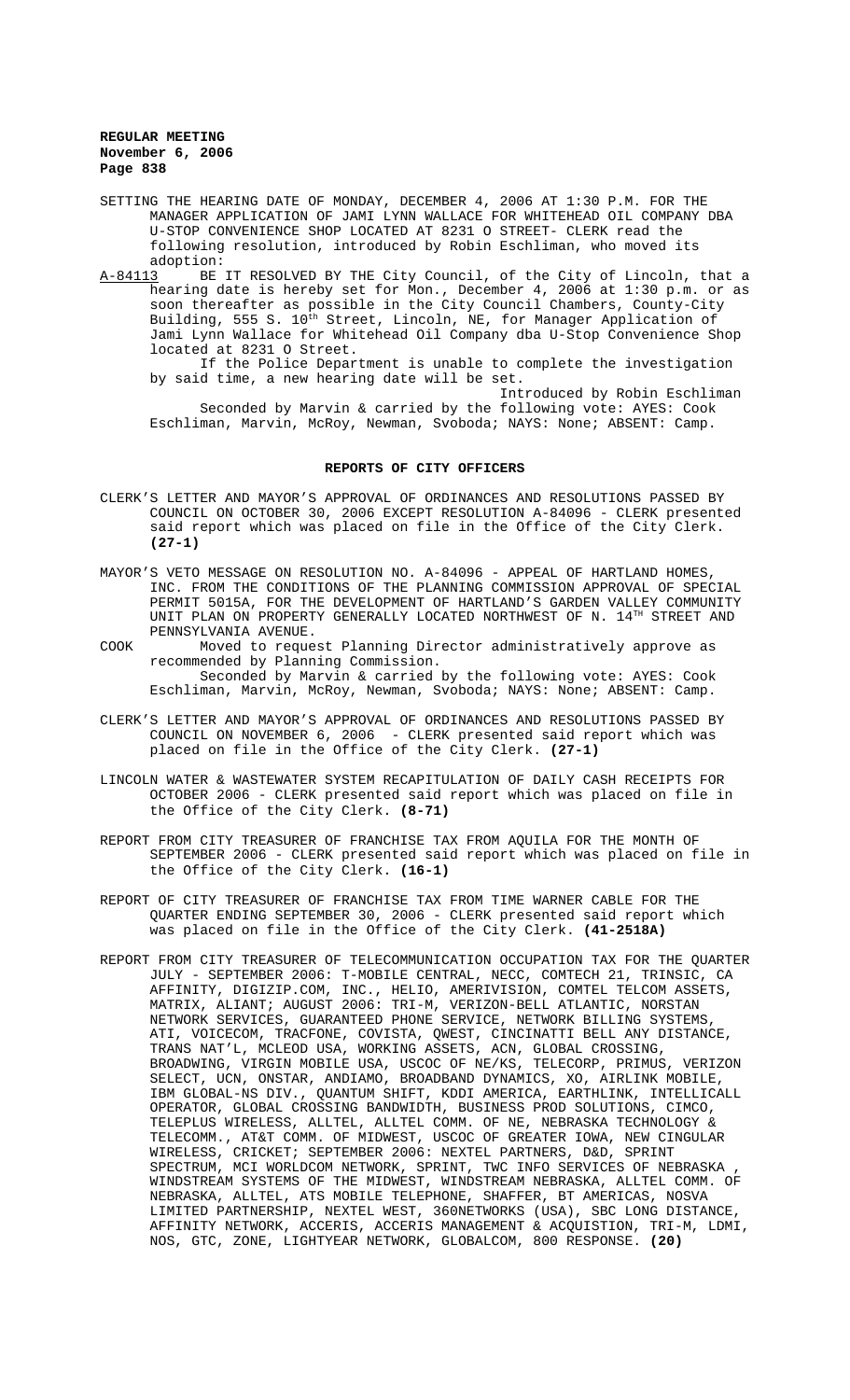- SETTING THE HEARING DATE OF MONDAY, DECEMBER 4, 2006 AT 1:30 P.M. FOR THE MANAGER APPLICATION OF JAMI LYNN WALLACE FOR WHITEHEAD OIL COMPANY DBA U-STOP CONVENIENCE SHOP LOCATED AT 8231 O STREET- CLERK read the following resolution, introduced by Robin Eschliman, who moved its adoption:<br>A-84113 BE
- BE IT RESOLVED BY THE City Council, of the City of Lincoln, that a hearing date is hereby set for Mon., December 4, 2006 at 1:30 p.m. or as soon thereafter as possible in the City Council Chambers, County-City Building, 555 S. 10<sup>th</sup> Street, Lincoln, NE, for Manager Application of Jami Lynn Wallace for Whitehead Oil Company dba U-Stop Convenience Shop located at 8231 O Street.

If the Police Department is unable to complete the investigation by said time, a new hearing date will be set.

Introduced by Robin Eschliman Seconded by Marvin & carried by the following vote: AYES: Cook Eschliman, Marvin, McRoy, Newman, Svoboda; NAYS: None; ABSENT: Camp.

## **REPORTS OF CITY OFFICERS**

- CLERK'S LETTER AND MAYOR'S APPROVAL OF ORDINANCES AND RESOLUTIONS PASSED BY COUNCIL ON OCTOBER 30, 2006 EXCEPT RESOLUTION A-84096 - CLERK presented said report which was placed on file in the Office of the City Clerk. **(27-1)**
- MAYOR'S VETO MESSAGE ON RESOLUTION NO. A-84096 APPEAL OF HARTLAND HOMES, INC. FROM THE CONDITIONS OF THE PLANNING COMMISSION APPROVAL OF SPECIAL PERMIT 5015A, FOR THE DEVELOPMENT OF HARTLAND'S GARDEN VALLEY COMMUNITY UNIT PLAN ON PROPERTY GENERALLY LOCATED NORTHWEST OF N. 14<sup>TH</sup> STREET AND PENNSYLVANIA AVENUE.
- COOK Moved to request Planning Director administratively approve as recommended by Planning Commission. Seconded by Marvin & carried by the following vote: AYES: Cook Eschliman, Marvin, McRoy, Newman, Svoboda; NAYS: None; ABSENT: Camp.
- CLERK'S LETTER AND MAYOR'S APPROVAL OF ORDINANCES AND RESOLUTIONS PASSED BY COUNCIL ON NOVEMBER 6, 2006 - CLERK presented said report which was placed on file in the Office of the City Clerk. **(27-1)**
- LINCOLN WATER & WASTEWATER SYSTEM RECAPITULATION OF DAILY CASH RECEIPTS FOR OCTOBER 2006 - CLERK presented said report which was placed on file in the Office of the City Clerk. **(8-71)**
- REPORT FROM CITY TREASURER OF FRANCHISE TAX FROM AQUILA FOR THE MONTH OF SEPTEMBER 2006 - CLERK presented said report which was placed on file in the Office of the City Clerk. **(16-1)**
- REPORT OF CITY TREASURER OF FRANCHISE TAX FROM TIME WARNER CABLE FOR THE QUARTER ENDING SEPTEMBER 30, 2006 - CLERK presented said report which was placed on file in the Office of the City Clerk. **(41-2518A)**
- REPORT FROM CITY TREASURER OF TELECOMMUNICATION OCCUPATION TAX FOR THE QUARTER JULY - SEPTEMBER 2006: T-MOBILE CENTRAL, NECC, COMTECH 21, TRINSIC, CA AFFINITY, DIGIZIP.COM, INC., HELIO, AMERIVISION, COMTEL TELCOM ASSETS, MATRIX, ALIANT; AUGUST 2006: TRI-M, VERIZON-BELL ATLANTIC, NORSTAN NETWORK SERVICES, GUARANTEED PHONE SERVICE, NETWORK BILLING SYSTEMS, ATI, VOICECOM, TRACFONE, COVISTA, QWEST, CINCINATTI BELL ANY DISTANCE, TRANS NAT'L, MCLEOD USA, WORKING ASSETS, ACN, GLOBAL CROSSING, BROADWING, VIRGIN MOBILE USA, USCOC OF NE/KS, TELECORP, PRIMUS, VERIZON SELECT, UCN, ONSTAR, ANDIAMO, BROADBAND DYNAMICS, XO, AIRLINK MOBILE, IBM GLOBAL-NS DIV., QUANTUM SHIFT, KDDI AMERICA, EARTHLINK, INTELLICALL OPERATOR, GLOBAL CROSSING BANDWIDTH, BUSINESS PROD SOLUTIONS, CIMCO, TELEPLUS WIRELESS, ALLTEL, ALLTEL COMM. OF NE, NEBRASKA TECHNOLOGY & TELECOMM., AT&T COMM. OF MIDWEST, USCOC OF GREATER IOWA, NEW CINGULAR WIRELESS, CRICKET; SEPTEMBER 2006: NEXTEL PARTNERS, D&D, SPRINT SPECTRUM, MCI WORLDCOM NETWORK, SPRINT, TWC INFO SERVICES OF NEBRASKA WINDSTREAM SYSTEMS OF THE MIDWEST, WINDSTREAM NEBRASKA, ALLTEL COMM. OF NEBRASKA, ALLTEL, ATS MOBILE TELEPHONE, SHAFFER, BT AMERICAS, NOSVA LIMITED PARTNERSHIP, NEXTEL WEST, 360NETWORKS (USA), SBC LONG DISTANCE, AFFINITY NETWORK, ACCERIS, ACCERIS MANAGEMENT & ACQUISTION, TRI-M, LDMI, NOS, GTC, ZONE, LIGHTYEAR NETWORK, GLOBALCOM, 800 RESPONSE. **(20)**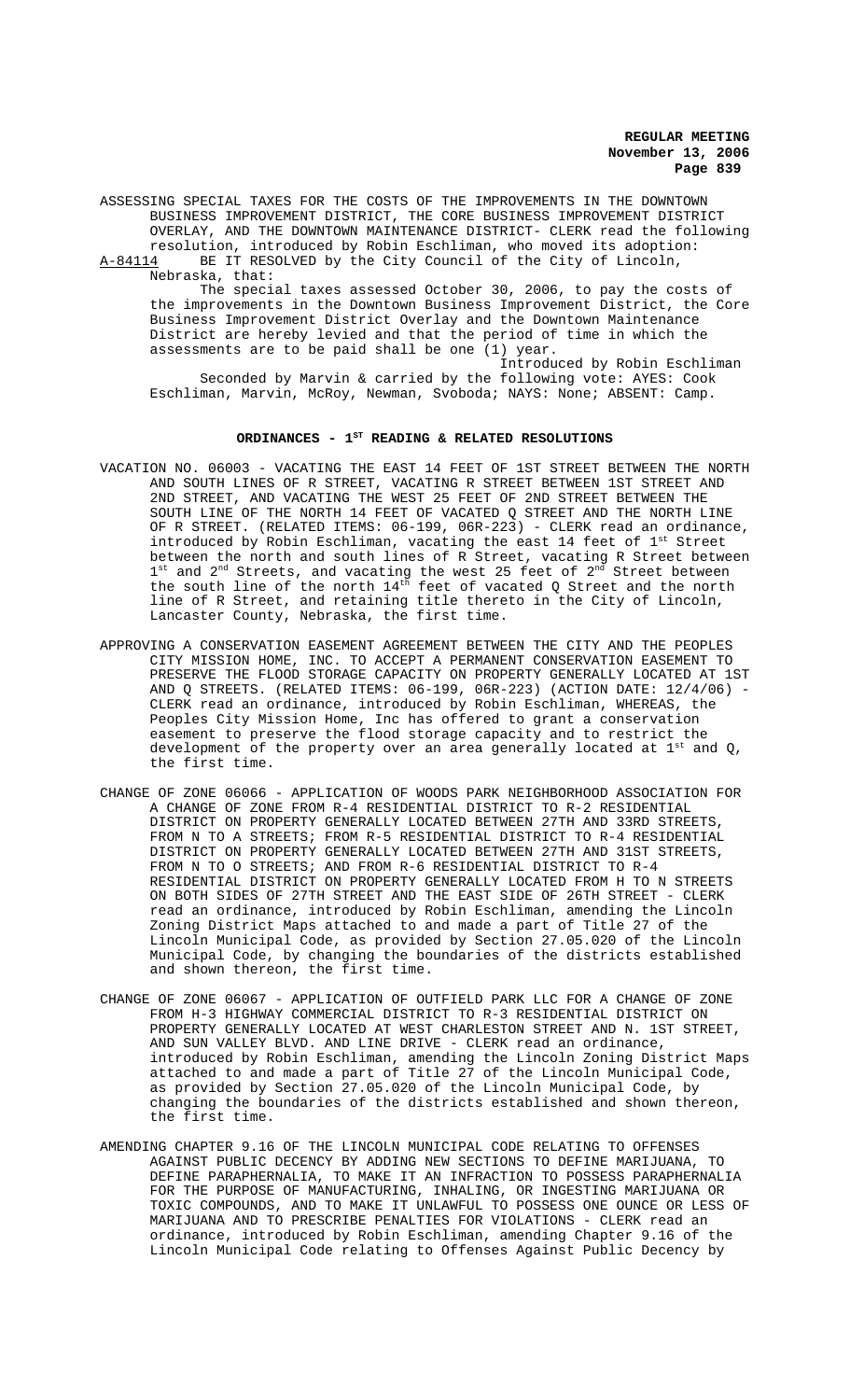ASSESSING SPECIAL TAXES FOR THE COSTS OF THE IMPROVEMENTS IN THE DOWNTOWN BUSINESS IMPROVEMENT DISTRICT, THE CORE BUSINESS IMPROVEMENT DISTRICT OVERLAY, AND THE DOWNTOWN MAINTENANCE DISTRICT- CLERK read the following resolution, introduced by Robin Eschliman, who moved its adoption:<br>A-84114 BE IT RESOLVED by the City Council of the City of Lincoln, BE IT RESOLVED by the City Council of the City of Lincoln, Nebraska, that: The special taxes assessed October 30, 2006, to pay the costs of

the improvements in the Downtown Business Improvement District, the Core Business Improvement District Overlay and the Downtown Maintenance District are hereby levied and that the period of time in which the assessments are to be paid shall be one (1) year. Introduced by Robin Eschliman

Seconded by Marvin & carried by the following vote: AYES: Cook Eschliman, Marvin, McRoy, Newman, Svoboda; NAYS: None; ABSENT: Camp.

#### ORDINANCES - 1<sup>st</sup> READING & RELATED RESOLUTIONS

- VACATION NO. 06003 VACATING THE EAST 14 FEET OF 1ST STREET BETWEEN THE NORTH AND SOUTH LINES OF R STREET, VACATING R STREET BETWEEN 1ST STREET AND 2ND STREET, AND VACATING THE WEST 25 FEET OF 2ND STREET BETWEEN THE SOUTH LINE OF THE NORTH 14 FEET OF VACATED Q STREET AND THE NORTH LINE OF R STREET. (RELATED ITEMS: 06-199, 06R-223) - CLERK read an ordinance, introduced by Robin Eschliman, vacating the east 14 feet of 1st Street between the north and south lines of R Street, vacating R Street between  $1^{\text{st}}$  and  $2^{\text{nd}}$  Streets, and vacating the west 25 feet of  $2^{\text{nd}}$  Street between the south line of the north  $14<sup>th</sup>$  feet of vacated Q Street and the north line of R Street, and retaining title thereto in the City of Lincoln, Lancaster County, Nebraska, the first time.
- APPROVING A CONSERVATION EASEMENT AGREEMENT BETWEEN THE CITY AND THE PEOPLES CITY MISSION HOME, INC. TO ACCEPT A PERMANENT CONSERVATION EASEMENT TO PRESERVE THE FLOOD STORAGE CAPACITY ON PROPERTY GENERALLY LOCATED AT 1ST AND Q STREETS. (RELATED ITEMS: 06-199, 06R-223) (ACTION DATE: 12/4/06) CLERK read an ordinance, introduced by Robin Eschliman, WHEREAS, the Peoples City Mission Home, Inc has offered to grant a conservation easement to preserve the flood storage capacity and to restrict the development of the property over an area generally located at  $1^{st}$  and Q, the first time.
- CHANGE OF ZONE 06066 APPLICATION OF WOODS PARK NEIGHBORHOOD ASSOCIATION FOR A CHANGE OF ZONE FROM R-4 RESIDENTIAL DISTRICT TO R-2 RESIDENTIAL DISTRICT ON PROPERTY GENERALLY LOCATED BETWEEN 27TH AND 33RD STREETS, FROM N TO A STREETS; FROM R-5 RESIDENTIAL DISTRICT TO R-4 RESIDENTIAL DISTRICT ON PROPERTY GENERALLY LOCATED BETWEEN 27TH AND 31ST STREETS, FROM N TO O STREETS; AND FROM R-6 RESIDENTIAL DISTRICT TO R-4 RESIDENTIAL DISTRICT ON PROPERTY GENERALLY LOCATED FROM H TO N STREETS ON BOTH SIDES OF 27TH STREET AND THE EAST SIDE OF 26TH STREET - CLERK read an ordinance, introduced by Robin Eschliman, amending the Lincoln Zoning District Maps attached to and made a part of Title 27 of the Lincoln Municipal Code, as provided by Section 27.05.020 of the Lincoln Municipal Code, by changing the boundaries of the districts established and shown thereon, the first time.
- CHANGE OF ZONE 06067 APPLICATION OF OUTFIELD PARK LLC FOR A CHANGE OF ZONE FROM H-3 HIGHWAY COMMERCIAL DISTRICT TO R-3 RESIDENTIAL DISTRICT ON PROPERTY GENERALLY LOCATED AT WEST CHARLESTON STREET AND N. 1ST STREET, AND SUN VALLEY BLVD. AND LINE DRIVE - CLERK read an ordinance, introduced by Robin Eschliman, amending the Lincoln Zoning District Maps attached to and made a part of Title 27 of the Lincoln Municipal Code, as provided by Section 27.05.020 of the Lincoln Municipal Code, by changing the boundaries of the districts established and shown thereon, the first time.
- AMENDING CHAPTER 9.16 OF THE LINCOLN MUNICIPAL CODE RELATING TO OFFENSES AGAINST PUBLIC DECENCY BY ADDING NEW SECTIONS TO DEFINE MARIJUANA, TO DEFINE PARAPHERNALIA, TO MAKE IT AN INFRACTION TO POSSESS PARAPHERNALIA FOR THE PURPOSE OF MANUFACTURING, INHALING, OR INGESTING MARIJUANA OR TOXIC COMPOUNDS, AND TO MAKE IT UNLAWFUL TO POSSESS ONE OUNCE OR LESS OF MARIJUANA AND TO PRESCRIBE PENALTIES FOR VIOLATIONS - CLERK read an ordinance, introduced by Robin Eschliman, amending Chapter 9.16 of the Lincoln Municipal Code relating to Offenses Against Public Decency by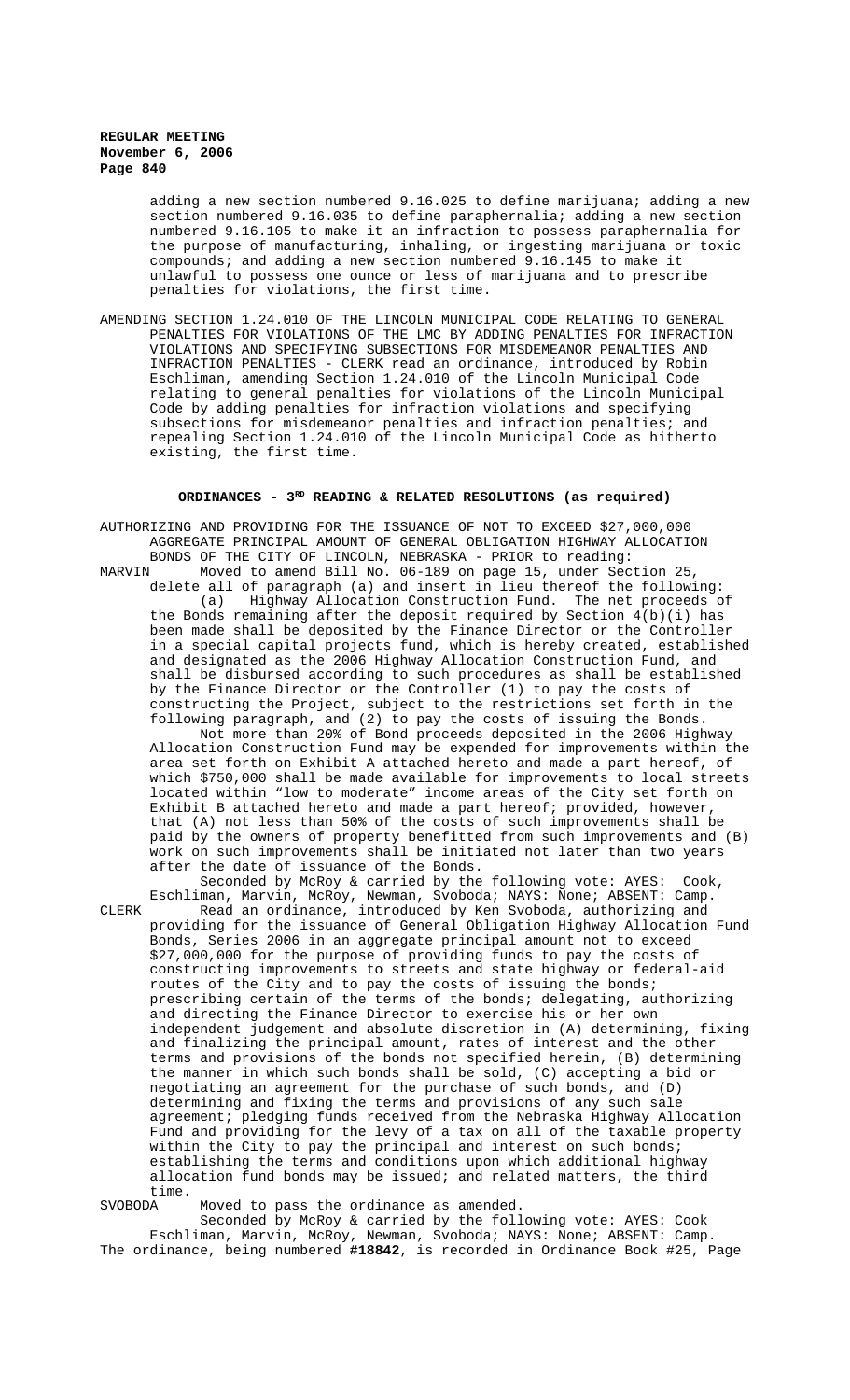adding a new section numbered 9.16.025 to define marijuana; adding a new section numbered 9.16.035 to define paraphernalia; adding a new section numbered 9.16.105 to make it an infraction to possess paraphernalia for the purpose of manufacturing, inhaling, or ingesting marijuana or toxic compounds; and adding a new section numbered 9.16.145 to make it unlawful to possess one ounce or less of marijuana and to prescribe penalties for violations, the first time.

AMENDING SECTION 1.24.010 OF THE LINCOLN MUNICIPAL CODE RELATING TO GENERAL PENALTIES FOR VIOLATIONS OF THE LMC BY ADDING PENALTIES FOR INFRACTION VIOLATIONS AND SPECIFYING SUBSECTIONS FOR MISDEMEANOR PENALTIES AND INFRACTION PENALTIES - CLERK read an ordinance, introduced by Robin Eschliman, amending Section 1.24.010 of the Lincoln Municipal Code relating to general penalties for violations of the Lincoln Municipal Code by adding penalties for infraction violations and specifying subsections for misdemeanor penalties and infraction penalties; and repealing Section 1.24.010 of the Lincoln Municipal Code as hitherto existing, the first time.

# ORDINANCES - 3<sup>RD</sup> READING & RELATED RESOLUTIONS (as required)

AUTHORIZING AND PROVIDING FOR THE ISSUANCE OF NOT TO EXCEED \$27,000,000 AGGREGATE PRINCIPAL AMOUNT OF GENERAL OBLIGATION HIGHWAY ALLOCATION BONDS OF THE CITY OF LINCOLN, NEBRASKA - PRIOR to reading:<br>MARVIN Moved to amend Bill No. 06-189 on page 15, under Sec Moved to amend Bill No. 06-189 on page 15, under Section 25, delete all of paragraph (a) and insert in lieu thereof the following: (a) Highway Allocation Construction Fund. The net proceeds of the Bonds remaining after the deposit required by Section  $4(b)(i)$  has been made shall be deposited by the Finance Director or the Controller in a special capital projects fund, which is hereby created, established and designated as the 2006 Highway Allocation Construction Fund, and shall be disbursed according to such procedures as shall be established by the Finance Director or the Controller (1) to pay the costs of constructing the Project, subject to the restrictions set forth in the following paragraph, and (2) to pay the costs of issuing the Bonds. Not more than 20% of Bond proceeds deposited in the 2006 Highway Allocation Construction Fund may be expended for improvements within the area set forth on Exhibit A attached hereto and made a part hereof, of which \$750,000 shall be made available for improvements to local streets located within "low to moderate" income areas of the City set forth on Exhibit B attached hereto and made a part hereof; provided, however,

that (A) not less than 50% of the costs of such improvements shall be paid by the owners of property benefitted from such improvements and (B) work on such improvements shall be initiated not later than two years after the date of issuance of the Bonds.

Seconded by McRoy & carried by the following vote: AYES: Cook, Eschliman, Marvin, McRoy, Newman, Svoboda; NAYS: None; ABSENT: Camp. CLERK Read an ordinance, introduced by Ken Svoboda, authorizing and providing for the issuance of General Obligation Highway Allocation Fund Bonds, Series 2006 in an aggregate principal amount not to exceed \$27,000,000 for the purpose of providing funds to pay the costs of constructing improvements to streets and state highway or federal-aid routes of the City and to pay the costs of issuing the bonds; prescribing certain of the terms of the bonds; delegating, authorizing and directing the Finance Director to exercise his or her own independent judgement and absolute discretion in (A) determining, fixing and finalizing the principal amount, rates of interest and the other terms and provisions of the bonds not specified herein, (B) determining the manner in which such bonds shall be sold, (C) accepting a bid or negotiating an agreement for the purchase of such bonds, and (D) determining and fixing the terms and provisions of any such sale agreement; pledging funds received from the Nebraska Highway Allocation Fund and providing for the levy of a tax on all of the taxable property within the City to pay the principal and interest on such bonds; establishing the terms and conditions upon which additional highway allocation fund bonds may be issued; and related matters, the third time.<br>SVOBODA

Moved to pass the ordinance as amended.

Seconded by McRoy & carried by the following vote: AYES: Cook Eschliman, Marvin, McRoy, Newman, Svoboda; NAYS: None; ABSENT: Camp. The ordinance, being numbered **#18842**, is recorded in Ordinance Book #25, Page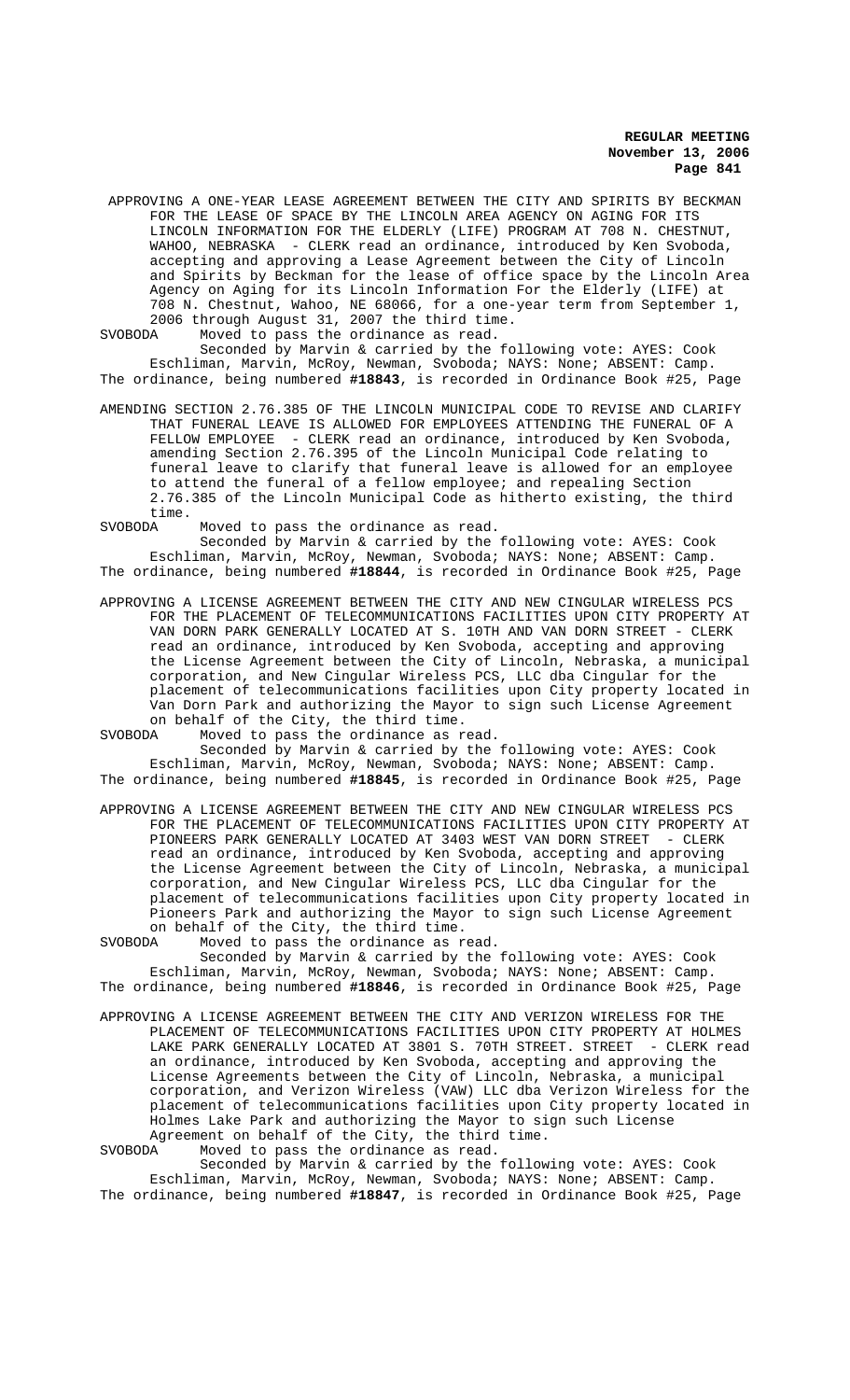APPROVING A ONE-YEAR LEASE AGREEMENT BETWEEN THE CITY AND SPIRITS BY BECKMAN FOR THE LEASE OF SPACE BY THE LINCOLN AREA AGENCY ON AGING FOR ITS LINCOLN INFORMATION FOR THE ELDERLY (LIFE) PROGRAM AT 708 N. CHESTNUT, WAHOO, NEBRASKA - CLERK read an ordinance, introduced by Ken Svoboda, accepting and approving a Lease Agreement between the City of Lincoln and Spirits by Beckman for the lease of office space by the Lincoln Area Agency on Aging for its Lincoln Information For the Elderly (LIFE) at 708 N. Chestnut, Wahoo, NE 68066, for a one-year term from September 1, 2006 through August 31, 2007 the third time.<br>SVORODA Moved to pass the ordinance as read.

Moved to pass the ordinance as read.

Seconded by Marvin & carried by the following vote: AYES: Cook Eschliman, Marvin, McRoy, Newman, Svoboda; NAYS: None; ABSENT: Camp. The ordinance, being numbered **#18843**, is recorded in Ordinance Book #25, Page

AMENDING SECTION 2.76.385 OF THE LINCOLN MUNICIPAL CODE TO REVISE AND CLARIFY THAT FUNERAL LEAVE IS ALLOWED FOR EMPLOYEES ATTENDING THE FUNERAL OF A FELLOW EMPLOYEE - CLERK read an ordinance, introduced by Ken Svoboda, amending Section 2.76.395 of the Lincoln Municipal Code relating to funeral leave to clarify that funeral leave is allowed for an employee to attend the funeral of a fellow employee; and repealing Section 2.76.385 of the Lincoln Municipal Code as hitherto existing, the third time.

SVOBODA Moved to pass the ordinance as read.

Seconded by Marvin & carried by the following vote: AYES: Cook Eschliman, Marvin, McRoy, Newman, Svoboda; NAYS: None; ABSENT: Camp. The ordinance, being numbered **#18844**, is recorded in Ordinance Book #25, Page

- APPROVING A LICENSE AGREEMENT BETWEEN THE CITY AND NEW CINGULAR WIRELESS PCS FOR THE PLACEMENT OF TELECOMMUNICATIONS FACILITIES UPON CITY PROPERTY AT VAN DORN PARK GENERALLY LOCATED AT S. 10TH AND VAN DORN STREET - CLERK read an ordinance, introduced by Ken Svoboda, accepting and approving the License Agreement between the City of Lincoln, Nebraska, a municipal corporation, and New Cingular Wireless PCS, LLC dba Cingular for the placement of telecommunications facilities upon City property located in Van Dorn Park and authorizing the Mayor to sign such License Agreement on behalf of the City, the third time.
- SVOBODA Moved to pass the ordinance as read. Seconded by Marvin & carried by the following vote: AYES: Cook Eschliman, Marvin, McRoy, Newman, Svoboda; NAYS: None; ABSENT: Camp.
- The ordinance, being numbered **#18845**, is recorded in Ordinance Book #25, Page
- APPROVING A LICENSE AGREEMENT BETWEEN THE CITY AND NEW CINGULAR WIRELESS PCS FOR THE PLACEMENT OF TELECOMMUNICATIONS FACILITIES UPON CITY PROPERTY AT PIONEERS PARK GENERALLY LOCATED AT 3403 WEST VAN DORN STREET - CLERK read an ordinance, introduced by Ken Svoboda, accepting and approving the License Agreement between the City of Lincoln, Nebraska, a municipal corporation, and New Cingular Wireless PCS, LLC dba Cingular for the placement of telecommunications facilities upon City property located in Pioneers Park and authorizing the Mayor to sign such License Agreement on behalf of the City, the third time.<br>SVOBODA Moved to pass the ordinance as re

Moved to pass the ordinance as read.

Seconded by Marvin & carried by the following vote: AYES: Cook Eschliman, Marvin, McRoy, Newman, Svoboda; NAYS: None; ABSENT: Camp. The ordinance, being numbered **#18846**, is recorded in Ordinance Book #25, Page

APPROVING A LICENSE AGREEMENT BETWEEN THE CITY AND VERIZON WIRELESS FOR THE PLACEMENT OF TELECOMMUNICATIONS FACILITIES UPON CITY PROPERTY AT HOLMES LAKE PARK GENERALLY LOCATED AT 3801 S. 70TH STREET. STREET - CLERK read an ordinance, introduced by Ken Svoboda, accepting and approving the License Agreements between the City of Lincoln, Nebraska, a municipal corporation, and Verizon Wireless (VAW) LLC dba Verizon Wireless for the placement of telecommunications facilities upon City property located in Holmes Lake Park and authorizing the Mayor to sign such License Agreement on behalf of the City, the third time.<br>SVORODA Moved to pass the ordinance as read

Moved to pass the ordinance as read. Seconded by Marvin & carried by the following vote: AYES: Cook Eschliman, Marvin, McRoy, Newman, Svoboda; NAYS: None; ABSENT: Camp. The ordinance, being numbered **#18847**, is recorded in Ordinance Book #25, Page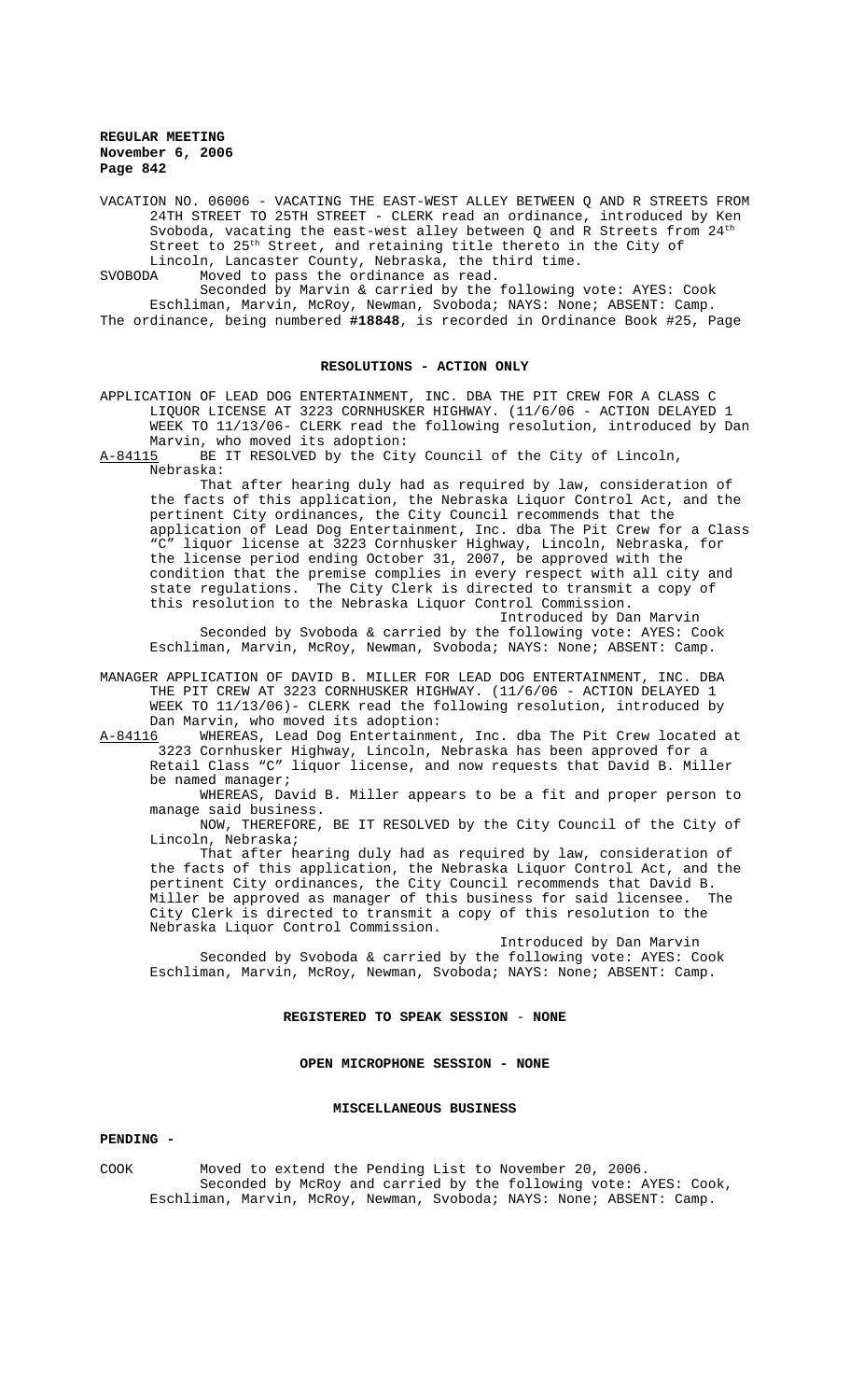VACATION NO. 06006 - VACATING THE EAST-WEST ALLEY BETWEEN Q AND R STREETS FROM 24TH STREET TO 25TH STREET - CLERK read an ordinance, introduced by Ken Svoboda, vacating the east-west alley between  $Q$  and R Streets from  $24<sup>th</sup>$ Street to 25th Street, and retaining title thereto in the City of Lincoln, Lancaster County, Nebraska, the third time.<br>SVOBODA Moved to pass the ordinance as read.

Moved to pass the ordinance as read.

Seconded by Marvin & carried by the following vote: AYES: Cook Eschliman, Marvin, McRoy, Newman, Svoboda; NAYS: None; ABSENT: Camp. The ordinance, being numbered **#18848**, is recorded in Ordinance Book #25, Page

#### **RESOLUTIONS - ACTION ONLY**

APPLICATION OF LEAD DOG ENTERTAINMENT, INC. DBA THE PIT CREW FOR A CLASS C LIQUOR LICENSE AT 3223 CORNHUSKER HIGHWAY. (11/6/06 - ACTION DELAYED 1 WEEK TO 11/13/06- CLERK read the following resolution, introduced by Dan Marvin, who moved its adoption:

A-84115 BE IT RESOLVED by the City Council of the City of Lincoln, Nebraska:

That after hearing duly had as required by law, consideration of the facts of this application, the Nebraska Liquor Control Act, and the pertinent City ordinances, the City Council recommends that the application of Lead Dog Entertainment, Inc. dba The Pit Crew for a Class "C" liquor license at 3223 Cornhusker Highway, Lincoln, Nebraska, for the license period ending October 31, 2007, be approved with the condition that the premise complies in every respect with all city and<br>state regulations. The City Clerk is directed to transmit a copy of The City Clerk is directed to transmit a copy of this resolution to the Nebraska Liquor Control Commission.

Introduced by Dan Marvin Seconded by Svoboda & carried by the following vote: AYES: Cook Eschliman, Marvin, McRoy, Newman, Svoboda; NAYS: None; ABSENT: Camp.

MANAGER APPLICATION OF DAVID B. MILLER FOR LEAD DOG ENTERTAINMENT, INC. DBA THE PIT CREW AT 3223 CORNHUSKER HIGHWAY. (11/6/06 - ACTION DELAYED 1 WEEK TO 11/13/06)- CLERK read the following resolution, introduced by Dan Marvin, who moved its adoption:

A-84116 WHEREAS, Lead Dog Entertainment, Inc. dba The Pit Crew located at 3223 Cornhusker Highway, Lincoln, Nebraska has been approved for a Retail Class "C" liquor license, and now requests that David B. Miller be named manager;

WHEREAS, David B. Miller appears to be a fit and proper person to manage said business.

NOW, THEREFORE, BE IT RESOLVED by the City Council of the City of Lincoln, Nebraska;

That after hearing duly had as required by law, consideration of the facts of this application, the Nebraska Liquor Control Act, and the pertinent City ordinances, the City Council recommends that David B. Miller be approved as manager of this business for said licensee. The City Clerk is directed to transmit a copy of this resolution to the Nebraska Liquor Control Commission.

Introduced by Dan Marvin Seconded by Svoboda & carried by the following vote: AYES: Cook Eschliman, Marvin, McRoy, Newman, Svoboda; NAYS: None; ABSENT: Camp.

#### **REGISTERED TO SPEAK SESSION** - **NONE**

### **OPEN MICROPHONE SESSION - NONE**

#### **MISCELLANEOUS BUSINESS**

### **PENDING -**

COOK Moved to extend the Pending List to November 20, 2006. Seconded by McRoy and carried by the following vote: AYES: Cook, Eschliman, Marvin, McRoy, Newman, Svoboda; NAYS: None; ABSENT: Camp.